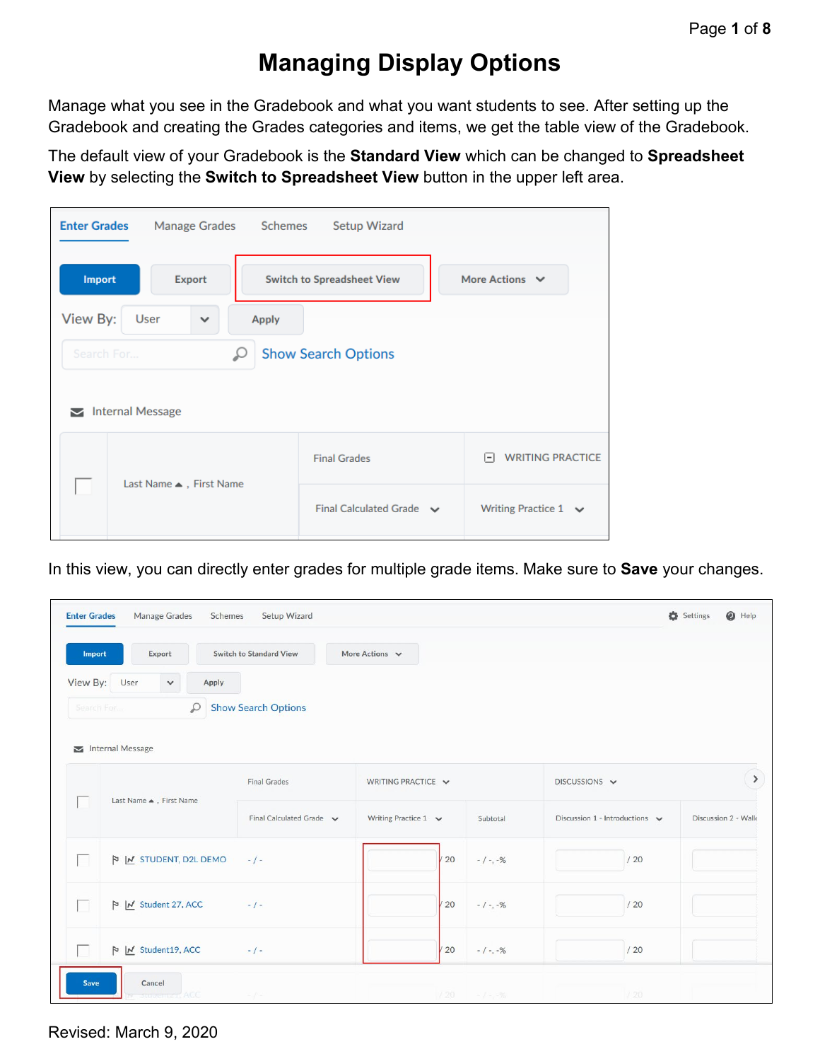# **Managing Display Options**

Manage what you see in the Gradebook and what you want students to see. After setting up the Gradebook and creating the Grades categories and items, we get the table view of the Gradebook.

The default view of your Gradebook is the **Standard View** which can be changed to **Spreadsheet View** by selecting the **Switch to Spreadsheet View** button in the upper left area.

| <b>Enter Grades</b>                     | Manage Grades Schemes      |              | Setup Wizard                      |                                 |  |  |  |
|-----------------------------------------|----------------------------|--------------|-----------------------------------|---------------------------------|--|--|--|
| <b>Import</b>                           | <b>Export</b>              |              | <b>Switch to Spreadsheet View</b> | More Actions $\vee$             |  |  |  |
| View By:<br>User                        | $\checkmark$               | <b>Apply</b> |                                   |                                 |  |  |  |
| Search For                              | <b>Show Search Options</b> |              |                                   |                                 |  |  |  |
| <b>Internal Message</b><br>$\checkmark$ |                            |              |                                   |                                 |  |  |  |
|                                         |                            |              | <b>Final Grades</b>               | <b>WRITING PRACTICE</b><br>E    |  |  |  |
| Last Name ▲, First Name                 |                            |              | Final Calculated Grade $\sim$     | Writing Practice $1 \quad \lor$ |  |  |  |

In this view, you can directly enter grades for multiple grade items. Make sure to **Save** your changes.

|                    | <b>Manage Grades</b><br>Setup Wizard<br><b>Enter Grades</b><br>Schemes |                                                                                                                                                                                                                  |                           |     |            |                                     | Settings | $\odot$ Help        |
|--------------------|------------------------------------------------------------------------|------------------------------------------------------------------------------------------------------------------------------------------------------------------------------------------------------------------|---------------------------|-----|------------|-------------------------------------|----------|---------------------|
| Import<br>View By: | Export<br>User<br>Apply<br>$\checkmark$                                | <b>Switch to Standard View</b>                                                                                                                                                                                   | More Actions $\vee$       |     |            |                                     |          |                     |
| Search For         | $\mathcal{Q}$                                                          | <b>Show Search Options</b>                                                                                                                                                                                       |                           |     |            |                                     |          |                     |
|                    | Internal Message                                                       |                                                                                                                                                                                                                  |                           |     |            |                                     |          |                     |
|                    | Last Name ▲, First Name                                                | <b>Final Grades</b>                                                                                                                                                                                              | WRITING PRACTICE V        |     |            | DISCUSSIONS V                       |          | $\,$                |
|                    |                                                                        | Final Calculated Grade $\sim$                                                                                                                                                                                    | Writing Practice 1 $\vee$ |     | Subtotal   | Discussion 1 - Introductions $\sim$ |          | Discussion 2 - Walk |
| П                  | N M STUDENT, D2L DEMO                                                  | $-/-$                                                                                                                                                                                                            |                           | /20 | $-1 - -96$ | /20                                 |          |                     |
| Ħ                  | N   Student 27, ACC                                                    | $-1-$                                                                                                                                                                                                            |                           | 20  | $-1 - -96$ | /20                                 |          |                     |
|                    | $\triangleright$   $\bigwedge$ Student19, ACC                          | $-1-$                                                                                                                                                                                                            |                           | 20  | $-1 - -96$ | /20                                 |          |                     |
| Save               | Cancel<br><b>Rubenter, ACC</b>                                         | $\label{eq:2.1} \begin{array}{l} \begin{array}{c} \begin{array}{c} \begin{array}{c} \begin{array}{c} \end{array} \\ \end{array} \\ \begin{array}{c} \end{array} \end{array} \end{array} \end{array} \end{array}$ |                           | /20 | $-1 - 96$  | /20                                 |          |                     |

Revised: March 9, 2020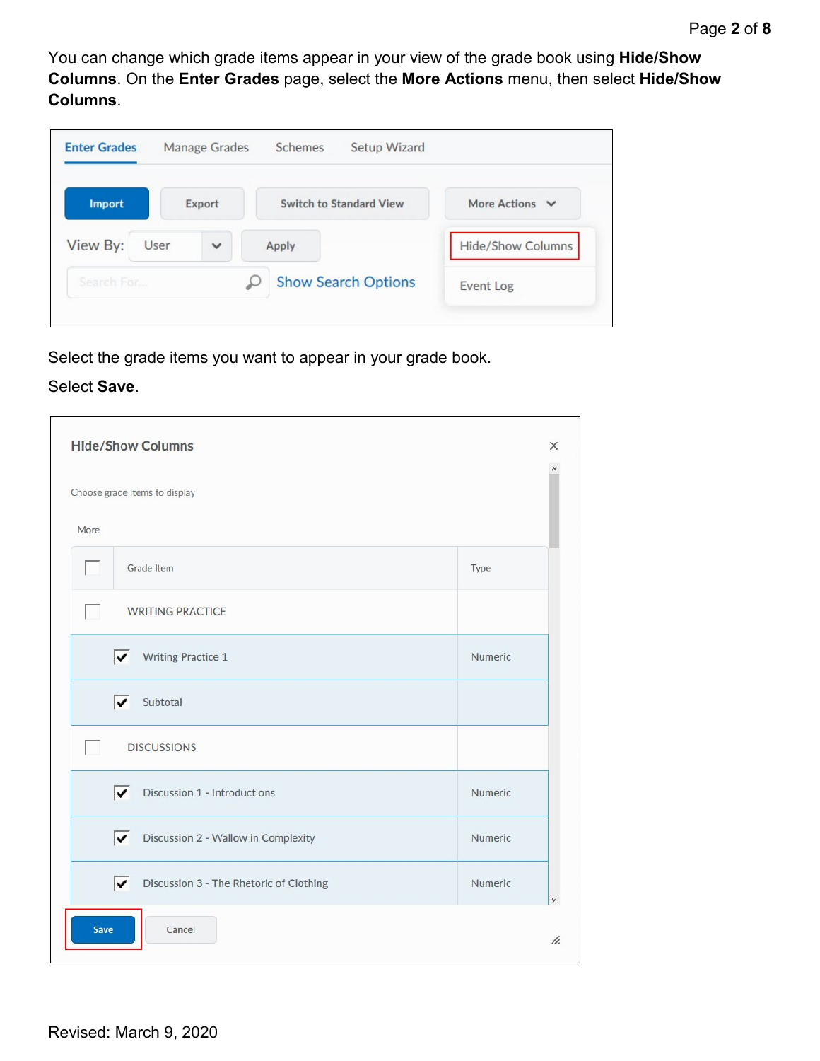You can change which grade items appear in your view of the grade book using **Hide/Show Columns**. On the **Enter Grades** page, select the **More Actions** menu, then select **Hide/Show Columns**.

| <b>Enter Grades</b> |      | Manage Grades | Schemes | Setup Wizard                   |                          |
|---------------------|------|---------------|---------|--------------------------------|--------------------------|
| <b>Import</b>       |      | <b>Export</b> |         | <b>Switch to Standard View</b> | More Actions $\vee$      |
| View By:            | User | $\checkmark$  | Apply   |                                | <b>Hide/Show Columns</b> |
| Search For          |      |               |         | <b>Show Search Options</b>     | Event Log                |

Select the grade items you want to appear in your grade book.

#### Select **Save**.

|                          | <b>Hide/Show Columns</b>                             |         | $\times$ |
|--------------------------|------------------------------------------------------|---------|----------|
|                          | Choose grade items to display                        |         |          |
| More                     |                                                      |         |          |
|                          | Grade Item                                           | Type    |          |
| $\overline{\phantom{a}}$ | <b>WRITING PRACTICE</b>                              |         |          |
|                          | $\overline{\mathbf{v}}$<br><b>Writing Practice 1</b> | Numeric |          |
|                          | Subtotal<br>▽                                        |         |          |
| п                        | <b>DISCUSSIONS</b>                                   |         |          |
|                          | ⊽<br>Discussion 1 - Introductions                    | Numeric |          |
|                          | ⊽<br>Discussion 2 - Wallow in Complexity             | Numeric |          |
|                          | Discussion 3 - The Rhetoric of Clothing<br>⊽         | Numeric | ٧        |
| <b>Save</b>              | Cancel                                               |         | h.       |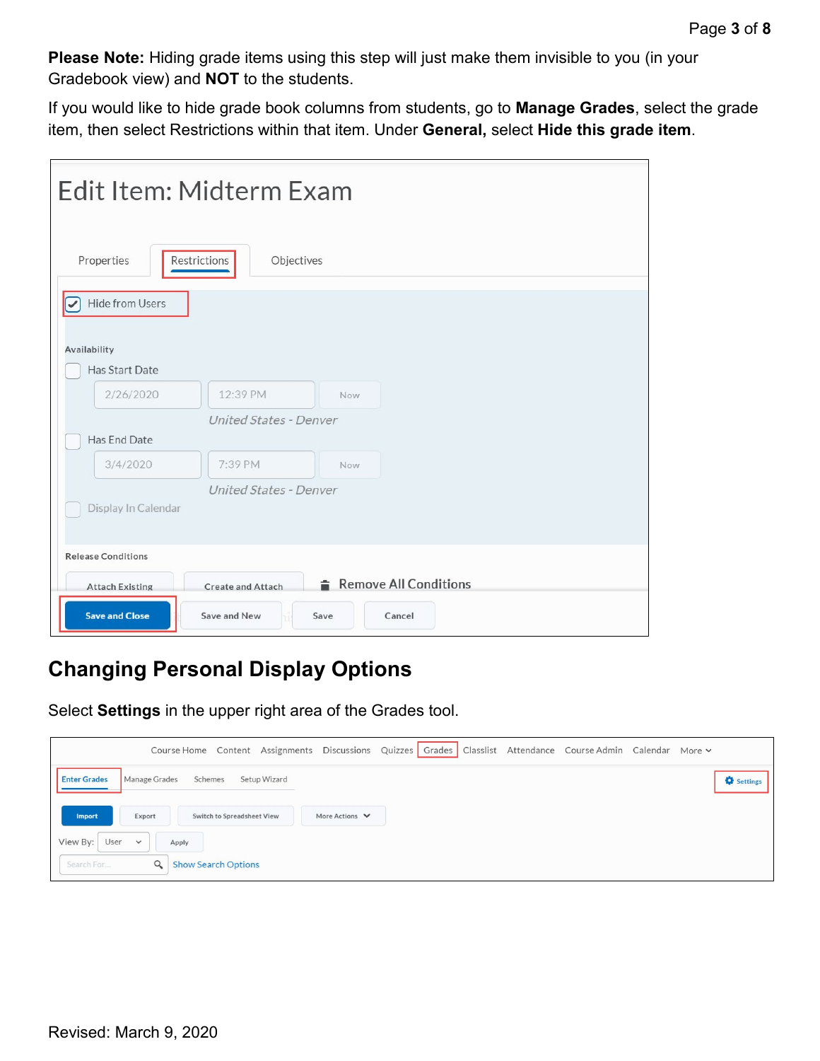**Please Note:** Hiding grade items using this step will just make them invisible to you (in your Gradebook view) and **NOT** to the students.

If you would like to hide grade book columns from students, go to **Manage Grades**, select the grade item, then select Restrictions within that item. Under **General,** select **Hide this grade item**.

| Edit Item: Midterm Exam                                                     |  |  |  |  |
|-----------------------------------------------------------------------------|--|--|--|--|
| Restrictions<br>Properties<br>Objectives                                    |  |  |  |  |
| Hide from Users<br>V<br>Availability<br>Has Start Date                      |  |  |  |  |
| 2/26/2020<br>12:39 PM<br><b>Now</b><br>United States - Denver               |  |  |  |  |
| Has End Date                                                                |  |  |  |  |
| 3/4/2020<br>7:39 PM<br>Now                                                  |  |  |  |  |
| United States - Denver<br>Display In Calendar                               |  |  |  |  |
| <b>Release Conditions</b>                                                   |  |  |  |  |
| Remove All Conditions<br><b>Attach Existing</b><br><b>Create and Attach</b> |  |  |  |  |
| <b>Save and Close</b><br>Save and New<br>Save<br>Cancel                     |  |  |  |  |

## **Changing Personal Display Options**

Select **Settings** in the upper right area of the Grades tool.

| Course Home Content Assignments Discussions Quizzes Grades Classlist Attendance Course Admin Calendar More v |                   |
|--------------------------------------------------------------------------------------------------------------|-------------------|
| <b>Enter Grades</b><br>Manage Grades<br>Schemes<br>Setup Wizard                                              | <b>Q</b> Settings |
| Export<br>More Actions $\vee$<br>Import<br>Switch to Spreadsheet View                                        |                   |
| View By: User<br>$\checkmark$<br>Apply                                                                       |                   |
| $\alpha$<br>Search For<br><b>Show Search Options</b>                                                         |                   |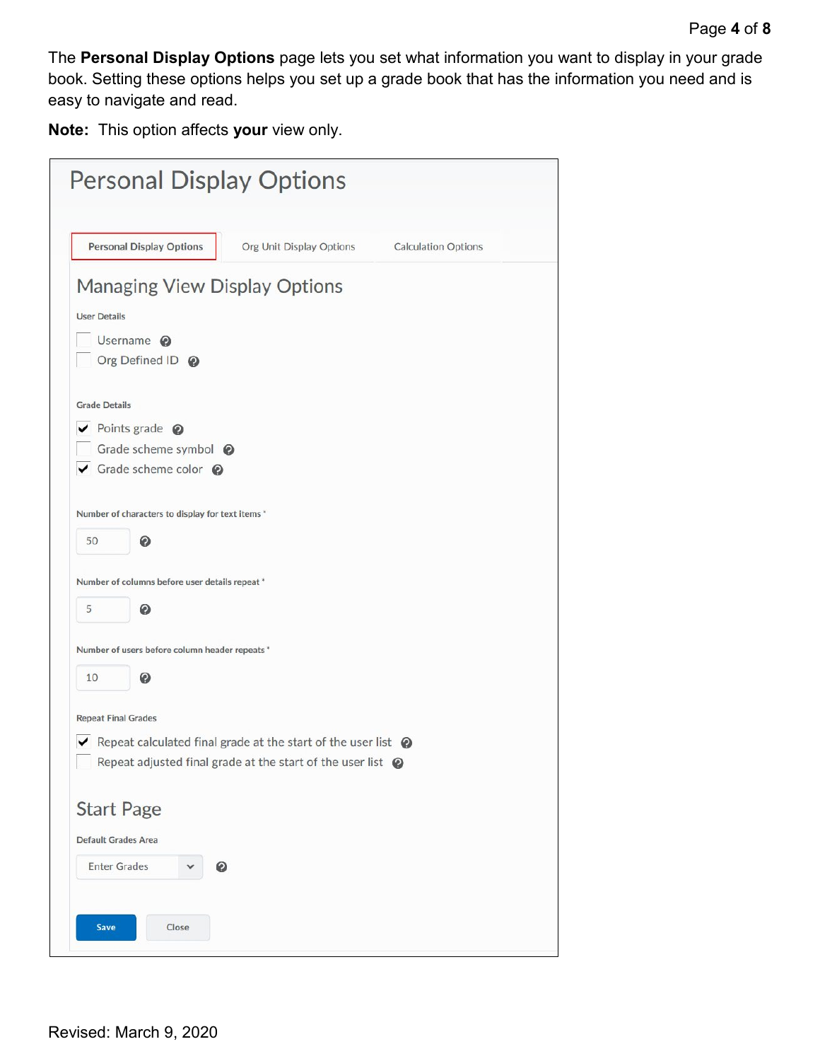The **Personal Display Options** page lets you set what information you want to display in your grade book. Setting these options helps you set up a grade book that has the information you need and is easy to navigate and read.

**Note:** This option affects **your** view only.

| <b>Personal Display Options</b>                                                      |                          |                            |
|--------------------------------------------------------------------------------------|--------------------------|----------------------------|
| <b>Personal Display Options</b>                                                      | Org Unit Display Options | <b>Calculation Options</b> |
| <b>Managing View Display Options</b>                                                 |                          |                            |
| <b>User Details</b>                                                                  |                          |                            |
| Username <sup>@</sup><br>Org Defined ID @                                            |                          |                            |
| <b>Grade Details</b>                                                                 |                          |                            |
| $\vee$ Points grade $\odot$                                                          |                          |                            |
| Grade scheme symbol @                                                                |                          |                            |
| ✔ Grade scheme color ?                                                               |                          |                            |
|                                                                                      |                          |                            |
| Number of characters to display for text items *                                     |                          |                            |
| 50<br>0                                                                              |                          |                            |
| Number of columns before user details repeat *                                       |                          |                            |
| 5<br>๏                                                                               |                          |                            |
| Number of users before column header repeats *                                       |                          |                            |
| ๏<br>10                                                                              |                          |                            |
| <b>Repeat Final Grades</b>                                                           |                          |                            |
| $\triangleright$ Repeat calculated final grade at the start of the user list $\odot$ |                          |                            |
| Repeat adjusted final grade at the start of the user list $\bigcirc$                 |                          |                            |
|                                                                                      |                          |                            |
| <b>Start Page</b>                                                                    |                          |                            |
| <b>Default Grades Area</b>                                                           |                          |                            |
| <b>Enter Grades</b><br>Ω                                                             |                          |                            |
|                                                                                      |                          |                            |
| <b>Save</b><br>Close                                                                 |                          |                            |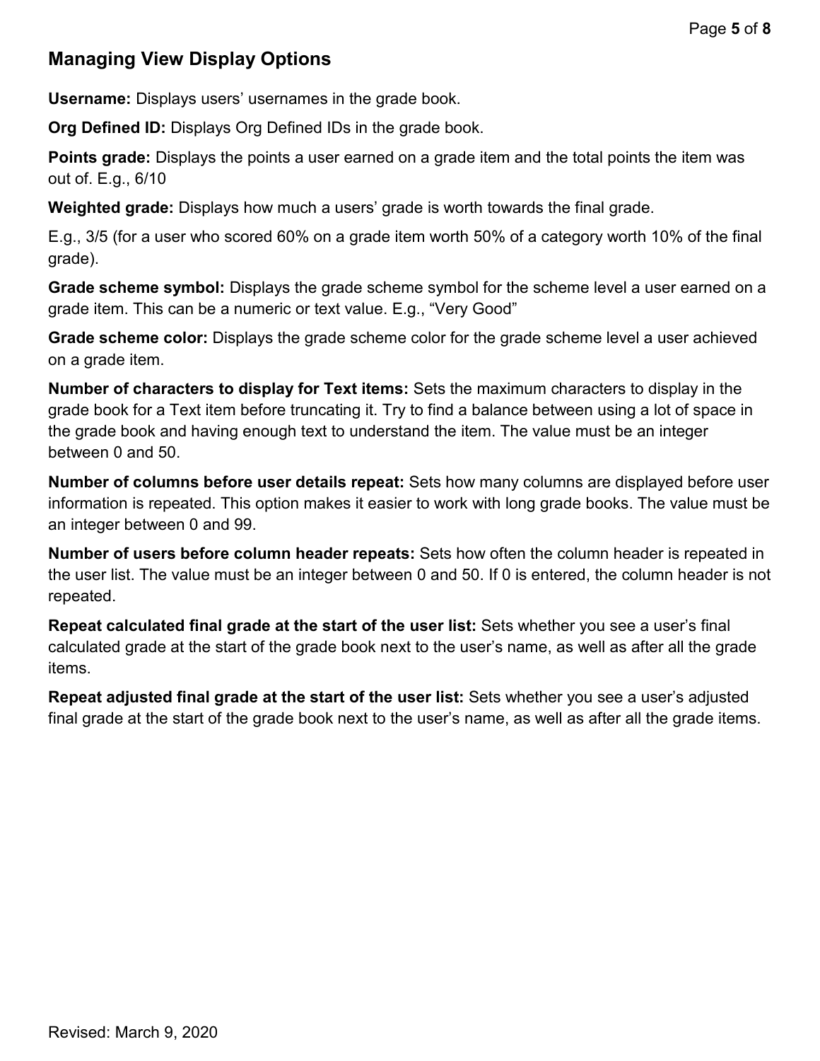### **Managing View Display Options**

**Username:** Displays users' usernames in the grade book.

**Org Defined ID:** Displays Org Defined IDs in the grade book.

**Points grade:** Displays the points a user earned on a grade item and the total points the item was out of. E.g., 6/10

**Weighted grade:** Displays how much a users' grade is worth towards the final grade.

E.g., 3/5 (for a user who scored 60% on a grade item worth 50% of a category worth 10% of the final grade).

**Grade scheme symbol:** Displays the grade scheme symbol for the scheme level a user earned on a grade item. This can be a numeric or text value. E.g., "Very Good"

**Grade scheme color:** Displays the grade scheme color for the grade scheme level a user achieved on a grade item.

**Number of characters to display for Text items:** Sets the maximum characters to display in the grade book for a Text item before truncating it. Try to find a balance between using a lot of space in the grade book and having enough text to understand the item. The value must be an integer between 0 and 50.

**Number of columns before user details repeat:** Sets how many columns are displayed before user information is repeated. This option makes it easier to work with long grade books. The value must be an integer between 0 and 99.

**Number of users before column header repeats:** Sets how often the column header is repeated in the user list. The value must be an integer between 0 and 50. If 0 is entered, the column header is not repeated.

**Repeat calculated final grade at the start of the user list:** Sets whether you see a user's final calculated grade at the start of the grade book next to the user's name, as well as after all the grade items.

**Repeat adjusted final grade at the start of the user list:** Sets whether you see a user's adjusted final grade at the start of the grade book next to the user's name, as well as after all the grade items.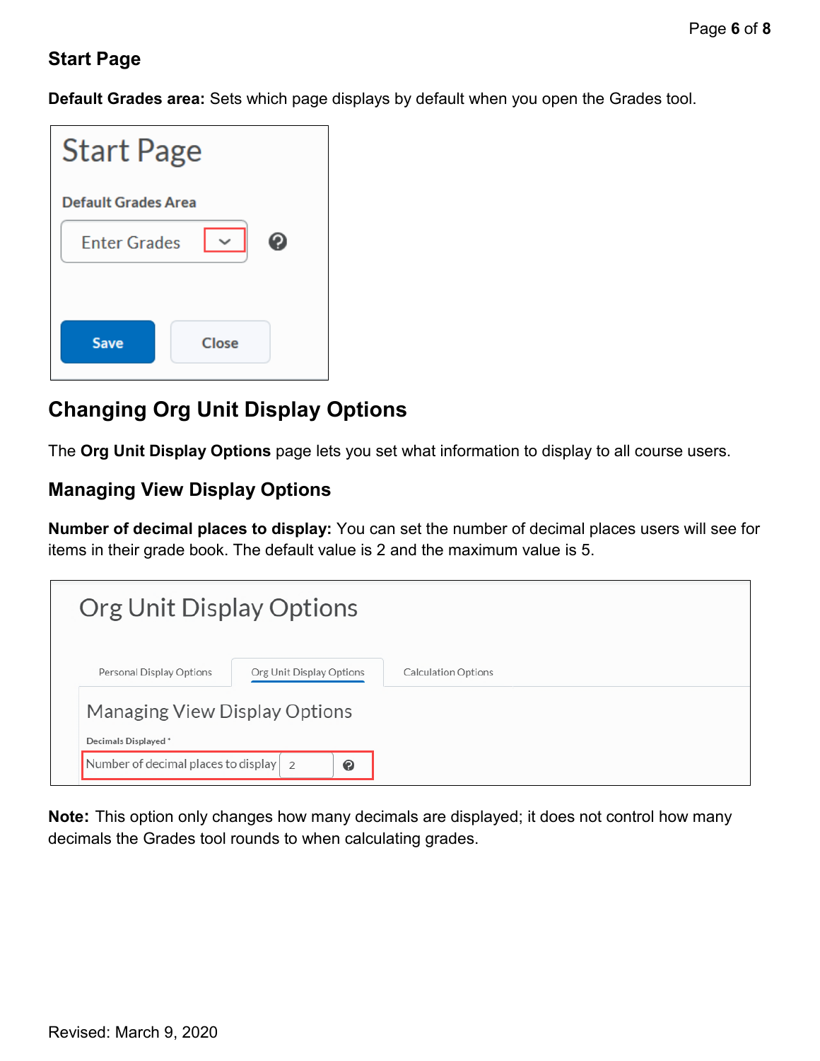#### **Start Page**

**Default Grades area:** Sets which page displays by default when you open the Grades tool.

| <b>Start Page</b>          |              |  |  |  |
|----------------------------|--------------|--|--|--|
| <b>Default Grades Area</b> |              |  |  |  |
| <b>Enter Grades</b>        | $\checkmark$ |  |  |  |
| <b>Save</b>                | Close        |  |  |  |

### **Changing Org Unit Display Options**

The **Org Unit Display Options** page lets you set what information to display to all course users.

#### **Managing View Display Options**

**Number of decimal places to display:** You can set the number of decimal places users will see for items in their grade book. The default value is 2 and the maximum value is 5.

| Org Unit Display Options                              |                            |
|-------------------------------------------------------|----------------------------|
| Personal Display Options<br>Org Unit Display Options  | <b>Calculation Options</b> |
| Managing View Display Options<br>Decimals Displayed * |                            |
| Number of decimal places to display 2<br>$\bullet$    |                            |

**Note:** This option only changes how many decimals are displayed; it does not control how many decimals the Grades tool rounds to when calculating grades.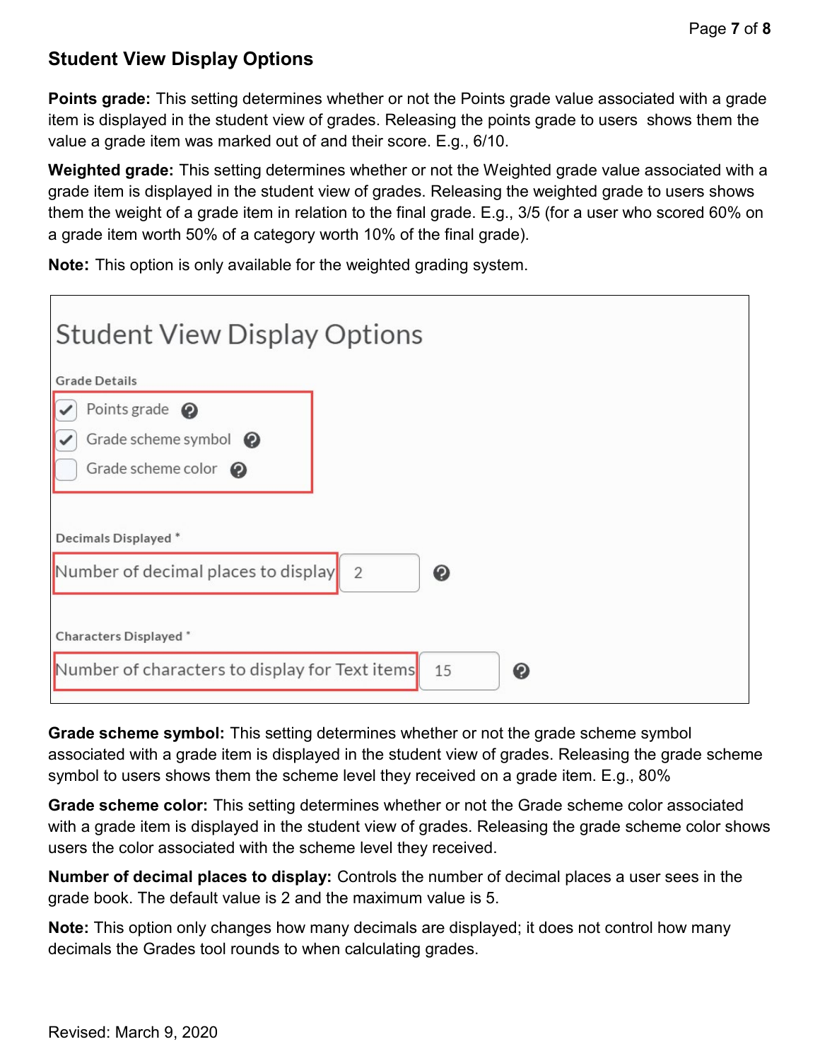### **Student View Display Options**

**Points grade:** This setting determines whether or not the Points grade value associated with a grade item is displayed in the student view of grades. Releasing the points grade to users shows them the value a grade item was marked out of and their score. E.g., 6/10.

**Weighted grade:** This setting determines whether or not the Weighted grade value associated with a grade item is displayed in the student view of grades. Releasing the weighted grade to users shows them the weight of a grade item in relation to the final grade. E.g., 3/5 (for a user who scored 60% on a grade item worth 50% of a category worth 10% of the final grade).

**Note:** This option is only available for the weighted grading system.

| <b>Student View Display Options</b>            |         |
|------------------------------------------------|---------|
| <b>Grade Details</b>                           |         |
| Points grade $\bigcirc$                        |         |
| Grade scheme symbol $\bullet$                  |         |
| Grade scheme color $\bigcirc$                  |         |
|                                                |         |
| Decimals Displayed*                            |         |
| Number of decimal places to display 2          | ◉       |
|                                                |         |
| Characters Displayed *                         |         |
| Number of characters to display for Text items | 15<br>❷ |
|                                                |         |

**Grade scheme symbol:** This setting determines whether or not the grade scheme symbol associated with a grade item is displayed in the student view of grades. Releasing the grade scheme symbol to users shows them the scheme level they received on a grade item. E.g., 80%

**Grade scheme color:** This setting determines whether or not the Grade scheme color associated with a grade item is displayed in the student view of grades. Releasing the grade scheme color shows users the color associated with the scheme level they received.

**Number of decimal places to display:** Controls the number of decimal places a user sees in the grade book. The default value is 2 and the maximum value is 5.

**Note:** This option only changes how many decimals are displayed; it does not control how many decimals the Grades tool rounds to when calculating grades.